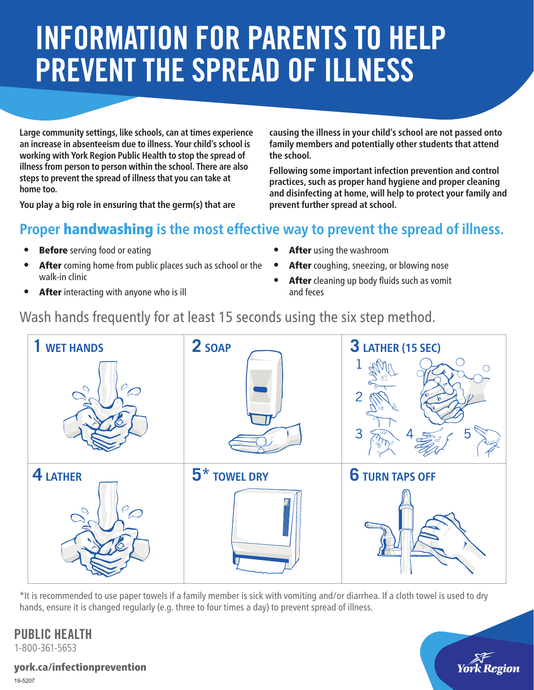# INFORMATION FOR PARENTS TO HELP PREVENT THE SPREAD OF ILLNESS

**Large community settings, like schools, can at times experience an increase in absenteeism due to illness. Your child's school is working with York Region Public Health to stop the spread of illness from person to person within the school. There are also steps to prevent the spread of illness that you can take at home too.** 

**You play a big role in ensuring that the germ(s) that are** 

**causing the illness in your child's school are not passed onto family members and potentially other students that attend the school.**

**Following some important infection prevention and control practices, such as proper hand hygiene and proper cleaning and disinfecting at home, will help to protect your family and prevent further spread at school.**

## **Proper** handwashing **is the most effective way to prevent the spread of illness.**

- **Before** serving food or eating
- After coming home from public places such as school or the . After coughing, sneezing, or blowing nose walk-in clinic
- After interacting with anyone who is ill
- After using the washroom
- 
- After cleaning up body fluids such as vomit and feces

## Wash hands frequently for at least 15 seconds using the six step method.



\*It is recommended to use paper towels if a family member is sick with vomiting and/or diarrhea. If a cloth towel is used to dry hands, ensure it is changed regularly (e.g. three to four times a day) to prevent spread of illness.

# PUBLIC HEALTH

1-800-361-5653

york.ca/infectionprevention 19-5207